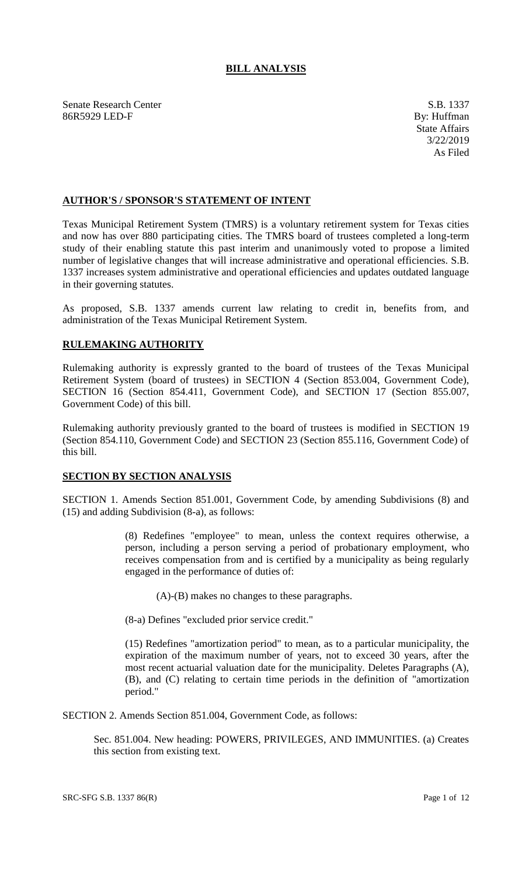## **BILL ANALYSIS**

Senate Research Center S.B. 1337 86R5929 LED-F By: Huffman

## **AUTHOR'S / SPONSOR'S STATEMENT OF INTENT**

Texas Municipal Retirement System (TMRS) is a voluntary retirement system for Texas cities and now has over 880 participating cities. The TMRS board of trustees completed a long-term study of their enabling statute this past interim and unanimously voted to propose a limited number of legislative changes that will increase administrative and operational efficiencies. S.B. 1337 increases system administrative and operational efficiencies and updates outdated language in their governing statutes.

As proposed, S.B. 1337 amends current law relating to credit in, benefits from, and administration of the Texas Municipal Retirement System.

## **RULEMAKING AUTHORITY**

Rulemaking authority is expressly granted to the board of trustees of the Texas Municipal Retirement System (board of trustees) in SECTION 4 (Section 853.004, Government Code), SECTION 16 (Section 854.411, Government Code), and SECTION 17 (Section 855.007, Government Code) of this bill.

Rulemaking authority previously granted to the board of trustees is modified in SECTION 19 (Section 854.110, Government Code) and SECTION 23 (Section 855.116, Government Code) of this bill.

## **SECTION BY SECTION ANALYSIS**

SECTION 1. Amends Section 851.001, Government Code, by amending Subdivisions (8) and (15) and adding Subdivision (8-a), as follows:

> (8) Redefines "employee" to mean, unless the context requires otherwise, a person, including a person serving a period of probationary employment, who receives compensation from and is certified by a municipality as being regularly engaged in the performance of duties of:

(A)-(B) makes no changes to these paragraphs.

(8-a) Defines "excluded prior service credit."

(15) Redefines "amortization period" to mean, as to a particular municipality, the expiration of the maximum number of years, not to exceed 30 years, after the most recent actuarial valuation date for the municipality. Deletes Paragraphs (A), (B), and (C) relating to certain time periods in the definition of "amortization period."

SECTION 2. Amends Section 851.004, Government Code, as follows:

Sec. 851.004. New heading: POWERS, PRIVILEGES, AND IMMUNITIES. (a) Creates this section from existing text.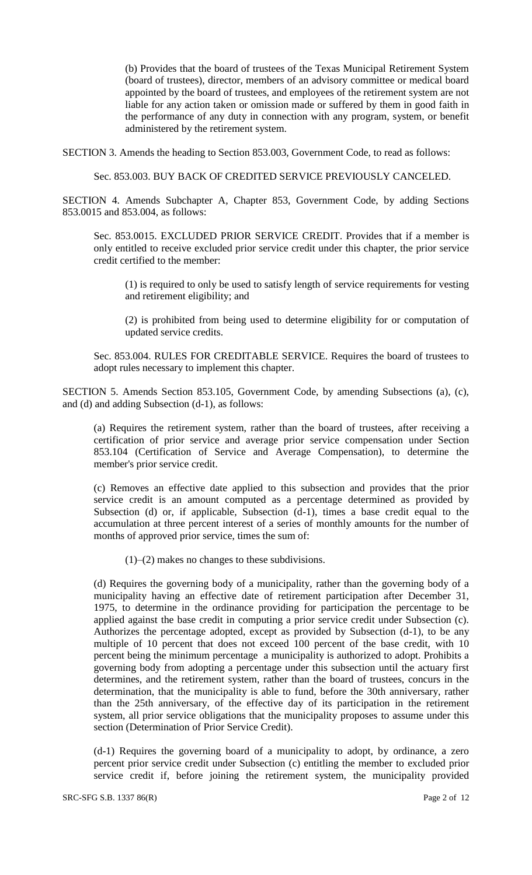(b) Provides that the board of trustees of the Texas Municipal Retirement System (board of trustees), director, members of an advisory committee or medical board appointed by the board of trustees, and employees of the retirement system are not liable for any action taken or omission made or suffered by them in good faith in the performance of any duty in connection with any program, system, or benefit administered by the retirement system.

SECTION 3. Amends the heading to Section 853.003, Government Code, to read as follows:

Sec. 853.003. BUY BACK OF CREDITED SERVICE PREVIOUSLY CANCELED.

SECTION 4. Amends Subchapter A, Chapter 853, Government Code, by adding Sections 853.0015 and 853.004, as follows:

Sec. 853.0015. EXCLUDED PRIOR SERVICE CREDIT. Provides that if a member is only entitled to receive excluded prior service credit under this chapter, the prior service credit certified to the member:

(1) is required to only be used to satisfy length of service requirements for vesting and retirement eligibility; and

(2) is prohibited from being used to determine eligibility for or computation of updated service credits.

Sec. 853.004. RULES FOR CREDITABLE SERVICE. Requires the board of trustees to adopt rules necessary to implement this chapter.

SECTION 5. Amends Section 853.105, Government Code, by amending Subsections (a), (c), and (d) and adding Subsection (d-1), as follows:

(a) Requires the retirement system, rather than the board of trustees, after receiving a certification of prior service and average prior service compensation under Section 853.104 (Certification of Service and Average Compensation), to determine the member's prior service credit.

(c) Removes an effective date applied to this subsection and provides that the prior service credit is an amount computed as a percentage determined as provided by Subsection (d) or, if applicable, Subsection (d-1), times a base credit equal to the accumulation at three percent interest of a series of monthly amounts for the number of months of approved prior service, times the sum of:

 $(1)$ – $(2)$  makes no changes to these subdivisions.

(d) Requires the governing body of a municipality, rather than the governing body of a municipality having an effective date of retirement participation after December 31, 1975, to determine in the ordinance providing for participation the percentage to be applied against the base credit in computing a prior service credit under Subsection (c). Authorizes the percentage adopted, except as provided by Subsection (d-1), to be any multiple of 10 percent that does not exceed 100 percent of the base credit, with 10 percent being the minimum percentage a municipality is authorized to adopt. Prohibits a governing body from adopting a percentage under this subsection until the actuary first determines, and the retirement system, rather than the board of trustees, concurs in the determination, that the municipality is able to fund, before the 30th anniversary, rather than the 25th anniversary, of the effective day of its participation in the retirement system, all prior service obligations that the municipality proposes to assume under this section (Determination of Prior Service Credit).

(d-1) Requires the governing board of a municipality to adopt, by ordinance, a zero percent prior service credit under Subsection (c) entitling the member to excluded prior service credit if, before joining the retirement system, the municipality provided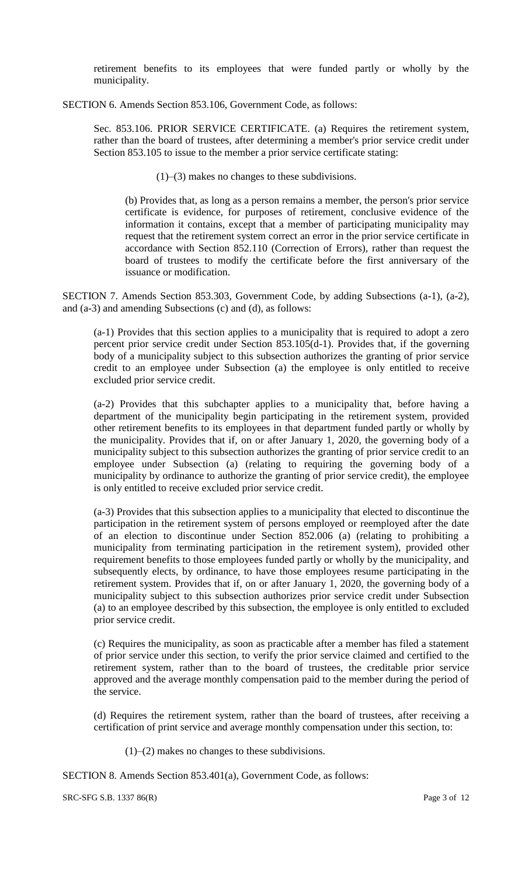retirement benefits to its employees that were funded partly or wholly by the municipality.

SECTION 6. Amends Section 853.106, Government Code, as follows:

Sec. 853.106. PRIOR SERVICE CERTIFICATE. (a) Requires the retirement system, rather than the board of trustees, after determining a member's prior service credit under Section 853.105 to issue to the member a prior service certificate stating:

(1)–(3) makes no changes to these subdivisions.

(b) Provides that, as long as a person remains a member, the person's prior service certificate is evidence, for purposes of retirement, conclusive evidence of the information it contains, except that a member of participating municipality may request that the retirement system correct an error in the prior service certificate in accordance with Section 852.110 (Correction of Errors), rather than request the board of trustees to modify the certificate before the first anniversary of the issuance or modification.

SECTION 7. Amends Section 853.303, Government Code, by adding Subsections (a-1), (a-2), and (a-3) and amending Subsections (c) and (d), as follows:

(a-1) Provides that this section applies to a municipality that is required to adopt a zero percent prior service credit under Section 853.105(d-1). Provides that, if the governing body of a municipality subject to this subsection authorizes the granting of prior service credit to an employee under Subsection (a) the employee is only entitled to receive excluded prior service credit.

(a-2) Provides that this subchapter applies to a municipality that, before having a department of the municipality begin participating in the retirement system, provided other retirement benefits to its employees in that department funded partly or wholly by the municipality. Provides that if, on or after January 1, 2020, the governing body of a municipality subject to this subsection authorizes the granting of prior service credit to an employee under Subsection (a) (relating to requiring the governing body of a municipality by ordinance to authorize the granting of prior service credit), the employee is only entitled to receive excluded prior service credit.

(a-3) Provides that this subsection applies to a municipality that elected to discontinue the participation in the retirement system of persons employed or reemployed after the date of an election to discontinue under Section 852.006 (a) (relating to prohibiting a municipality from terminating participation in the retirement system), provided other requirement benefits to those employees funded partly or wholly by the municipality, and subsequently elects, by ordinance, to have those employees resume participating in the retirement system. Provides that if, on or after January 1, 2020, the governing body of a municipality subject to this subsection authorizes prior service credit under Subsection (a) to an employee described by this subsection, the employee is only entitled to excluded prior service credit.

(c) Requires the municipality, as soon as practicable after a member has filed a statement of prior service under this section, to verify the prior service claimed and certified to the retirement system, rather than to the board of trustees, the creditable prior service approved and the average monthly compensation paid to the member during the period of the service.

(d) Requires the retirement system, rather than the board of trustees, after receiving a certification of print service and average monthly compensation under this section, to:

(1)–(2) makes no changes to these subdivisions.

SECTION 8. Amends Section 853.401(a), Government Code, as follows:

SRC-SFG S.B. 1337 86(R) Page 3 of 12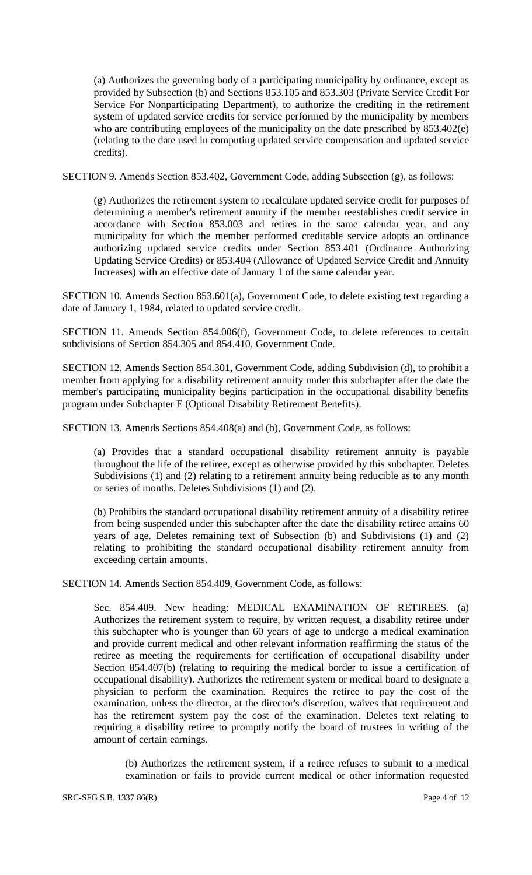(a) Authorizes the governing body of a participating municipality by ordinance, except as provided by Subsection (b) and Sections 853.105 and 853.303 (Private Service Credit For Service For Nonparticipating Department), to authorize the crediting in the retirement system of updated service credits for service performed by the municipality by members who are contributing employees of the municipality on the date prescribed by 853.402(e) (relating to the date used in computing updated service compensation and updated service credits).

SECTION 9. Amends Section 853.402, Government Code, adding Subsection (g), as follows:

(g) Authorizes the retirement system to recalculate updated service credit for purposes of determining a member's retirement annuity if the member reestablishes credit service in accordance with Section 853.003 and retires in the same calendar year, and any municipality for which the member performed creditable service adopts an ordinance authorizing updated service credits under Section 853.401 (Ordinance Authorizing Updating Service Credits) or 853.404 (Allowance of Updated Service Credit and Annuity Increases) with an effective date of January 1 of the same calendar year.

SECTION 10. Amends Section 853.601(a), Government Code, to delete existing text regarding a date of January 1, 1984, related to updated service credit.

SECTION 11. Amends Section 854.006(f), Government Code, to delete references to certain subdivisions of Section 854.305 and 854.410, Government Code.

SECTION 12. Amends Section 854.301, Government Code, adding Subdivision (d), to prohibit a member from applying for a disability retirement annuity under this subchapter after the date the member's participating municipality begins participation in the occupational disability benefits program under Subchapter E (Optional Disability Retirement Benefits).

SECTION 13. Amends Sections 854.408(a) and (b), Government Code, as follows:

(a) Provides that a standard occupational disability retirement annuity is payable throughout the life of the retiree, except as otherwise provided by this subchapter. Deletes Subdivisions (1) and (2) relating to a retirement annuity being reducible as to any month or series of months. Deletes Subdivisions (1) and (2).

(b) Prohibits the standard occupational disability retirement annuity of a disability retiree from being suspended under this subchapter after the date the disability retiree attains 60 years of age. Deletes remaining text of Subsection (b) and Subdivisions (1) and (2) relating to prohibiting the standard occupational disability retirement annuity from exceeding certain amounts.

SECTION 14. Amends Section 854.409, Government Code, as follows:

Sec. 854.409. New heading: MEDICAL EXAMINATION OF RETIREES. (a) Authorizes the retirement system to require, by written request, a disability retiree under this subchapter who is younger than 60 years of age to undergo a medical examination and provide current medical and other relevant information reaffirming the status of the retiree as meeting the requirements for certification of occupational disability under Section 854.407(b) (relating to requiring the medical border to issue a certification of occupational disability). Authorizes the retirement system or medical board to designate a physician to perform the examination. Requires the retiree to pay the cost of the examination, unless the director, at the director's discretion, waives that requirement and has the retirement system pay the cost of the examination. Deletes text relating to requiring a disability retiree to promptly notify the board of trustees in writing of the amount of certain earnings.

(b) Authorizes the retirement system, if a retiree refuses to submit to a medical examination or fails to provide current medical or other information requested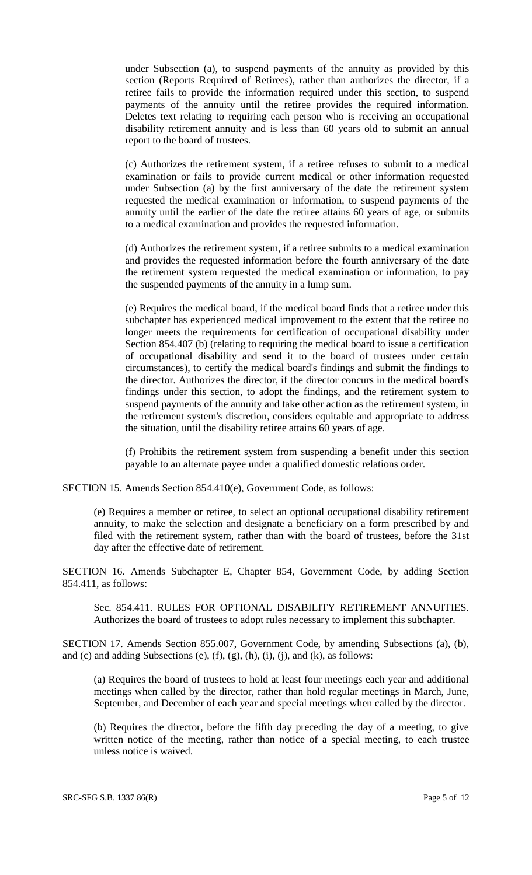under Subsection (a), to suspend payments of the annuity as provided by this section (Reports Required of Retirees), rather than authorizes the director, if a retiree fails to provide the information required under this section, to suspend payments of the annuity until the retiree provides the required information. Deletes text relating to requiring each person who is receiving an occupational disability retirement annuity and is less than 60 years old to submit an annual report to the board of trustees.

(c) Authorizes the retirement system, if a retiree refuses to submit to a medical examination or fails to provide current medical or other information requested under Subsection (a) by the first anniversary of the date the retirement system requested the medical examination or information, to suspend payments of the annuity until the earlier of the date the retiree attains 60 years of age, or submits to a medical examination and provides the requested information.

(d) Authorizes the retirement system, if a retiree submits to a medical examination and provides the requested information before the fourth anniversary of the date the retirement system requested the medical examination or information, to pay the suspended payments of the annuity in a lump sum.

(e) Requires the medical board, if the medical board finds that a retiree under this subchapter has experienced medical improvement to the extent that the retiree no longer meets the requirements for certification of occupational disability under Section 854.407 (b) (relating to requiring the medical board to issue a certification of occupational disability and send it to the board of trustees under certain circumstances), to certify the medical board's findings and submit the findings to the director. Authorizes the director, if the director concurs in the medical board's findings under this section, to adopt the findings, and the retirement system to suspend payments of the annuity and take other action as the retirement system, in the retirement system's discretion, considers equitable and appropriate to address the situation, until the disability retiree attains 60 years of age.

(f) Prohibits the retirement system from suspending a benefit under this section payable to an alternate payee under a qualified domestic relations order.

SECTION 15. Amends Section 854.410(e), Government Code, as follows:

(e) Requires a member or retiree, to select an optional occupational disability retirement annuity, to make the selection and designate a beneficiary on a form prescribed by and filed with the retirement system, rather than with the board of trustees, before the 31st day after the effective date of retirement.

SECTION 16. Amends Subchapter E, Chapter 854, Government Code, by adding Section 854.411, as follows:

Sec. 854.411. RULES FOR OPTIONAL DISABILITY RETIREMENT ANNUITIES. Authorizes the board of trustees to adopt rules necessary to implement this subchapter.

SECTION 17. Amends Section 855.007, Government Code, by amending Subsections (a), (b), and (c) and adding Subsections (e),  $(f)$ ,  $(g)$ ,  $(h)$ ,  $(i)$ ,  $(i)$ , and  $(k)$ , as follows:

(a) Requires the board of trustees to hold at least four meetings each year and additional meetings when called by the director, rather than hold regular meetings in March, June, September, and December of each year and special meetings when called by the director.

(b) Requires the director, before the fifth day preceding the day of a meeting, to give written notice of the meeting, rather than notice of a special meeting, to each trustee unless notice is waived.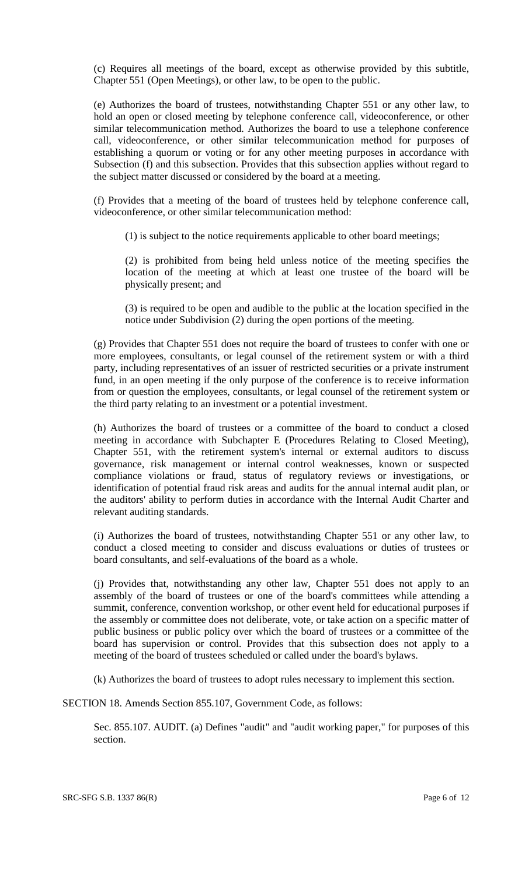(c) Requires all meetings of the board, except as otherwise provided by this subtitle, Chapter 551 (Open Meetings), or other law, to be open to the public.

(e) Authorizes the board of trustees, notwithstanding Chapter 551 or any other law, to hold an open or closed meeting by telephone conference call, videoconference, or other similar telecommunication method. Authorizes the board to use a telephone conference call, videoconference, or other similar telecommunication method for purposes of establishing a quorum or voting or for any other meeting purposes in accordance with Subsection (f) and this subsection. Provides that this subsection applies without regard to the subject matter discussed or considered by the board at a meeting.

(f) Provides that a meeting of the board of trustees held by telephone conference call, videoconference, or other similar telecommunication method:

(1) is subject to the notice requirements applicable to other board meetings;

(2) is prohibited from being held unless notice of the meeting specifies the location of the meeting at which at least one trustee of the board will be physically present; and

(3) is required to be open and audible to the public at the location specified in the notice under Subdivision (2) during the open portions of the meeting.

(g) Provides that Chapter 551 does not require the board of trustees to confer with one or more employees, consultants, or legal counsel of the retirement system or with a third party, including representatives of an issuer of restricted securities or a private instrument fund, in an open meeting if the only purpose of the conference is to receive information from or question the employees, consultants, or legal counsel of the retirement system or the third party relating to an investment or a potential investment.

(h) Authorizes the board of trustees or a committee of the board to conduct a closed meeting in accordance with Subchapter E (Procedures Relating to Closed Meeting), Chapter 551, with the retirement system's internal or external auditors to discuss governance, risk management or internal control weaknesses, known or suspected compliance violations or fraud, status of regulatory reviews or investigations, or identification of potential fraud risk areas and audits for the annual internal audit plan, or the auditors' ability to perform duties in accordance with the Internal Audit Charter and relevant auditing standards.

(i) Authorizes the board of trustees, notwithstanding Chapter 551 or any other law, to conduct a closed meeting to consider and discuss evaluations or duties of trustees or board consultants, and self-evaluations of the board as a whole.

(j) Provides that, notwithstanding any other law, Chapter 551 does not apply to an assembly of the board of trustees or one of the board's committees while attending a summit, conference, convention workshop, or other event held for educational purposes if the assembly or committee does not deliberate, vote, or take action on a specific matter of public business or public policy over which the board of trustees or a committee of the board has supervision or control. Provides that this subsection does not apply to a meeting of the board of trustees scheduled or called under the board's bylaws.

(k) Authorizes the board of trustees to adopt rules necessary to implement this section.

SECTION 18. Amends Section 855.107, Government Code, as follows:

Sec. 855.107. AUDIT. (a) Defines "audit" and "audit working paper," for purposes of this section.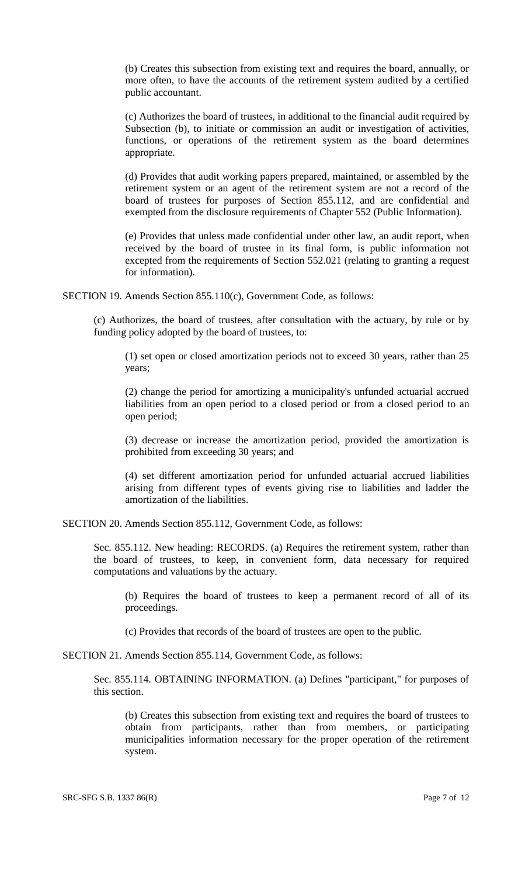(b) Creates this subsection from existing text and requires the board, annually, or more often, to have the accounts of the retirement system audited by a certified public accountant.

(c) Authorizes the board of trustees, in additional to the financial audit required by Subsection (b), to initiate or commission an audit or investigation of activities, functions, or operations of the retirement system as the board determines appropriate.

(d) Provides that audit working papers prepared, maintained, or assembled by the retirement system or an agent of the retirement system are not a record of the board of trustees for purposes of Section 855.112, and are confidential and exempted from the disclosure requirements of Chapter 552 (Public Information).

(e) Provides that unless made confidential under other law, an audit report, when received by the board of trustee in its final form, is public information not excepted from the requirements of Section 552.021 (relating to granting a request for information).

SECTION 19. Amends Section 855.110(c), Government Code, as follows:

(c) Authorizes, the board of trustees, after consultation with the actuary, by rule or by funding policy adopted by the board of trustees, to:

(1) set open or closed amortization periods not to exceed 30 years, rather than 25 years;

(2) change the period for amortizing a municipality's unfunded actuarial accrued liabilities from an open period to a closed period or from a closed period to an open period;

(3) decrease or increase the amortization period, provided the amortization is prohibited from exceeding 30 years; and

(4) set different amortization period for unfunded actuarial accrued liabilities arising from different types of events giving rise to liabilities and ladder the amortization of the liabilities.

SECTION 20. Amends Section 855.112, Government Code, as follows:

Sec. 855.112. New heading: RECORDS. (a) Requires the retirement system, rather than the board of trustees, to keep, in convenient form, data necessary for required computations and valuations by the actuary.

(b) Requires the board of trustees to keep a permanent record of all of its proceedings.

(c) Provides that records of the board of trustees are open to the public.

SECTION 21. Amends Section 855.114, Government Code, as follows:

Sec. 855.114. OBTAINING INFORMATION. (a) Defines "participant," for purposes of this section.

(b) Creates this subsection from existing text and requires the board of trustees to obtain from participants, rather than from members, or participating municipalities information necessary for the proper operation of the retirement system.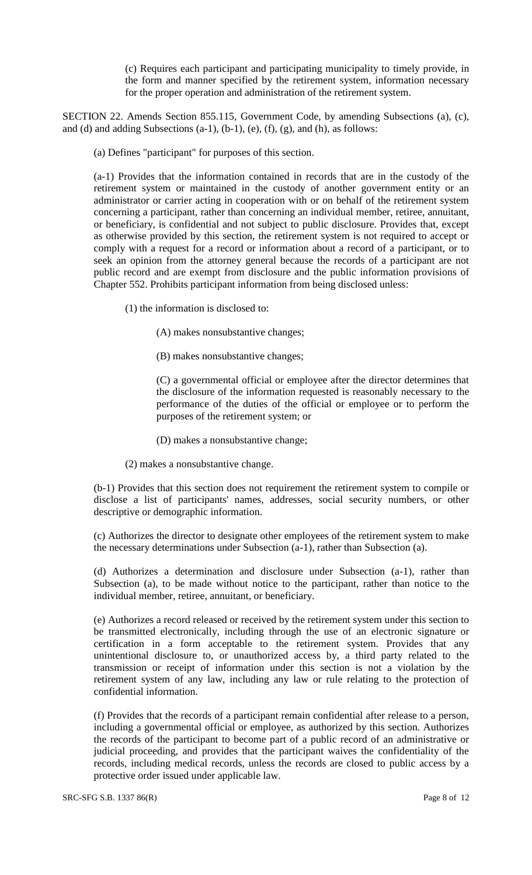(c) Requires each participant and participating municipality to timely provide, in the form and manner specified by the retirement system, information necessary for the proper operation and administration of the retirement system.

SECTION 22. Amends Section 855.115, Government Code, by amending Subsections (a), (c), and (d) and adding Subsections  $(a-1)$ ,  $(b-1)$ ,  $(e)$ ,  $(f)$ ,  $(g)$ , and  $(h)$ , as follows:

(a) Defines "participant" for purposes of this section.

(a-1) Provides that the information contained in records that are in the custody of the retirement system or maintained in the custody of another government entity or an administrator or carrier acting in cooperation with or on behalf of the retirement system concerning a participant, rather than concerning an individual member, retiree, annuitant, or beneficiary, is confidential and not subject to public disclosure. Provides that, except as otherwise provided by this section, the retirement system is not required to accept or comply with a request for a record or information about a record of a participant, or to seek an opinion from the attorney general because the records of a participant are not public record and are exempt from disclosure and the public information provisions of Chapter 552. Prohibits participant information from being disclosed unless:

(1) the information is disclosed to:

(A) makes nonsubstantive changes;

(B) makes nonsubstantive changes;

(C) a governmental official or employee after the director determines that the disclosure of the information requested is reasonably necessary to the performance of the duties of the official or employee or to perform the purposes of the retirement system; or

(D) makes a nonsubstantive change;

(2) makes a nonsubstantive change.

(b-1) Provides that this section does not requirement the retirement system to compile or disclose a list of participants' names, addresses, social security numbers, or other descriptive or demographic information.

(c) Authorizes the director to designate other employees of the retirement system to make the necessary determinations under Subsection (a-1), rather than Subsection (a).

(d) Authorizes a determination and disclosure under Subsection (a-1), rather than Subsection (a), to be made without notice to the participant, rather than notice to the individual member, retiree, annuitant, or beneficiary.

(e) Authorizes a record released or received by the retirement system under this section to be transmitted electronically, including through the use of an electronic signature or certification in a form acceptable to the retirement system. Provides that any unintentional disclosure to, or unauthorized access by, a third party related to the transmission or receipt of information under this section is not a violation by the retirement system of any law, including any law or rule relating to the protection of confidential information.

(f) Provides that the records of a participant remain confidential after release to a person, including a governmental official or employee, as authorized by this section. Authorizes the records of the participant to become part of a public record of an administrative or judicial proceeding, and provides that the participant waives the confidentiality of the records, including medical records, unless the records are closed to public access by a protective order issued under applicable law.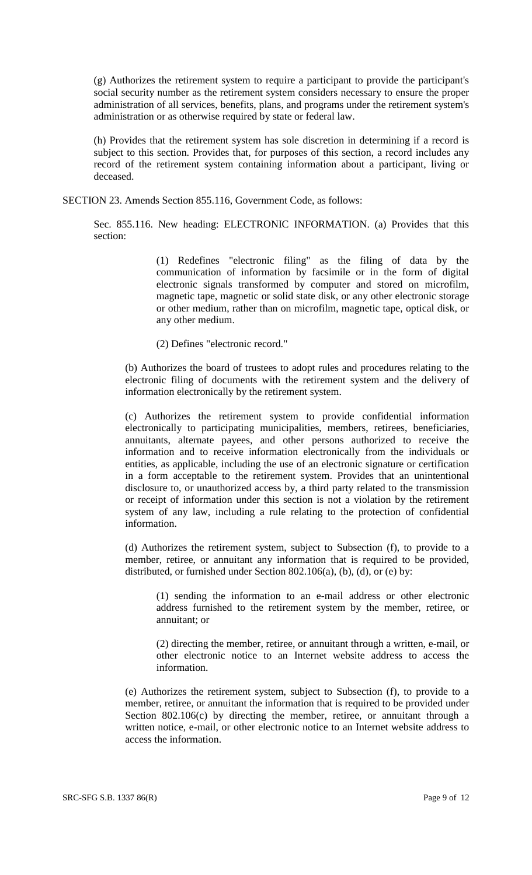(g) Authorizes the retirement system to require a participant to provide the participant's social security number as the retirement system considers necessary to ensure the proper administration of all services, benefits, plans, and programs under the retirement system's administration or as otherwise required by state or federal law.

(h) Provides that the retirement system has sole discretion in determining if a record is subject to this section. Provides that, for purposes of this section, a record includes any record of the retirement system containing information about a participant, living or deceased.

SECTION 23. Amends Section 855.116, Government Code, as follows:

Sec. 855.116. New heading: ELECTRONIC INFORMATION. (a) Provides that this section:

> (1) Redefines "electronic filing" as the filing of data by the communication of information by facsimile or in the form of digital electronic signals transformed by computer and stored on microfilm, magnetic tape, magnetic or solid state disk, or any other electronic storage or other medium, rather than on microfilm, magnetic tape, optical disk, or any other medium.

(2) Defines "electronic record."

(b) Authorizes the board of trustees to adopt rules and procedures relating to the electronic filing of documents with the retirement system and the delivery of information electronically by the retirement system.

(c) Authorizes the retirement system to provide confidential information electronically to participating municipalities, members, retirees, beneficiaries, annuitants, alternate payees, and other persons authorized to receive the information and to receive information electronically from the individuals or entities, as applicable, including the use of an electronic signature or certification in a form acceptable to the retirement system. Provides that an unintentional disclosure to, or unauthorized access by, a third party related to the transmission or receipt of information under this section is not a violation by the retirement system of any law, including a rule relating to the protection of confidential information.

(d) Authorizes the retirement system, subject to Subsection (f), to provide to a member, retiree, or annuitant any information that is required to be provided, distributed, or furnished under Section 802.106(a), (b), (d), or (e) by:

(1) sending the information to an e-mail address or other electronic address furnished to the retirement system by the member, retiree, or annuitant; or

(2) directing the member, retiree, or annuitant through a written, e-mail, or other electronic notice to an Internet website address to access the information.

(e) Authorizes the retirement system, subject to Subsection (f), to provide to a member, retiree, or annuitant the information that is required to be provided under Section 802.106(c) by directing the member, retiree, or annuitant through a written notice, e-mail, or other electronic notice to an Internet website address to access the information.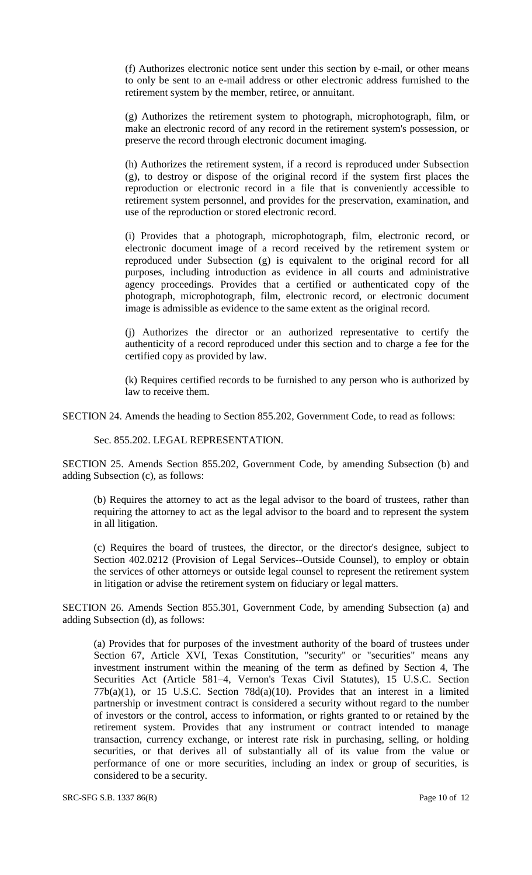(f) Authorizes electronic notice sent under this section by e-mail, or other means to only be sent to an e-mail address or other electronic address furnished to the retirement system by the member, retiree, or annuitant.

(g) Authorizes the retirement system to photograph, microphotograph, film, or make an electronic record of any record in the retirement system's possession, or preserve the record through electronic document imaging.

(h) Authorizes the retirement system, if a record is reproduced under Subsection (g), to destroy or dispose of the original record if the system first places the reproduction or electronic record in a file that is conveniently accessible to retirement system personnel, and provides for the preservation, examination, and use of the reproduction or stored electronic record.

(i) Provides that a photograph, microphotograph, film, electronic record, or electronic document image of a record received by the retirement system or reproduced under Subsection (g) is equivalent to the original record for all purposes, including introduction as evidence in all courts and administrative agency proceedings. Provides that a certified or authenticated copy of the photograph, microphotograph, film, electronic record, or electronic document image is admissible as evidence to the same extent as the original record.

(j) Authorizes the director or an authorized representative to certify the authenticity of a record reproduced under this section and to charge a fee for the certified copy as provided by law.

(k) Requires certified records to be furnished to any person who is authorized by law to receive them.

SECTION 24. Amends the heading to Section 855.202, Government Code, to read as follows:

Sec. 855.202. LEGAL REPRESENTATION.

SECTION 25. Amends Section 855.202, Government Code, by amending Subsection (b) and adding Subsection (c), as follows:

(b) Requires the attorney to act as the legal advisor to the board of trustees, rather than requiring the attorney to act as the legal advisor to the board and to represent the system in all litigation.

(c) Requires the board of trustees, the director, or the director's designee, subject to Section 402.0212 (Provision of Legal Services--Outside Counsel), to employ or obtain the services of other attorneys or outside legal counsel to represent the retirement system in litigation or advise the retirement system on fiduciary or legal matters.

SECTION 26. Amends Section 855.301, Government Code, by amending Subsection (a) and adding Subsection (d), as follows:

(a) Provides that for purposes of the investment authority of the board of trustees under Section 67, Article XVI, Texas Constitution, "security" or "securities" means any investment instrument within the meaning of the term as defined by Section 4, The Securities Act (Article 581–4, Vernon's Texas Civil Statutes), 15 U.S.C. Section  $77b(a)(1)$ , or 15 U.S.C. Section  $78d(a)(10)$ . Provides that an interest in a limited partnership or investment contract is considered a security without regard to the number of investors or the control, access to information, or rights granted to or retained by the retirement system. Provides that any instrument or contract intended to manage transaction, currency exchange, or interest rate risk in purchasing, selling, or holding securities, or that derives all of substantially all of its value from the value or performance of one or more securities, including an index or group of securities, is considered to be a security.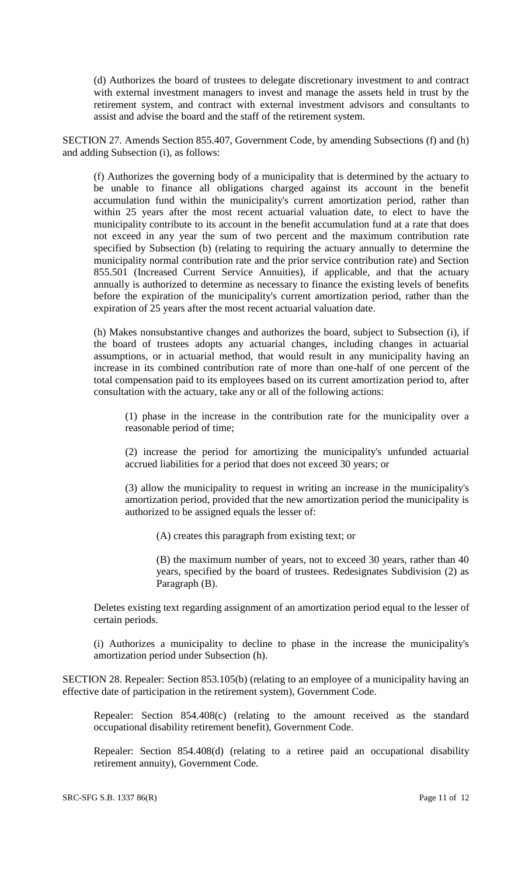(d) Authorizes the board of trustees to delegate discretionary investment to and contract with external investment managers to invest and manage the assets held in trust by the retirement system, and contract with external investment advisors and consultants to assist and advise the board and the staff of the retirement system.

SECTION 27. Amends Section 855.407, Government Code, by amending Subsections (f) and (h) and adding Subsection (i), as follows:

(f) Authorizes the governing body of a municipality that is determined by the actuary to be unable to finance all obligations charged against its account in the benefit accumulation fund within the municipality's current amortization period, rather than within 25 years after the most recent actuarial valuation date, to elect to have the municipality contribute to its account in the benefit accumulation fund at a rate that does not exceed in any year the sum of two percent and the maximum contribution rate specified by Subsection (b) (relating to requiring the actuary annually to determine the municipality normal contribution rate and the prior service contribution rate) and Section 855.501 (Increased Current Service Annuities), if applicable, and that the actuary annually is authorized to determine as necessary to finance the existing levels of benefits before the expiration of the municipality's current amortization period, rather than the expiration of 25 years after the most recent actuarial valuation date.

(h) Makes nonsubstantive changes and authorizes the board, subject to Subsection (i), if the board of trustees adopts any actuarial changes, including changes in actuarial assumptions, or in actuarial method, that would result in any municipality having an increase in its combined contribution rate of more than one-half of one percent of the total compensation paid to its employees based on its current amortization period to, after consultation with the actuary, take any or all of the following actions:

(1) phase in the increase in the contribution rate for the municipality over a reasonable period of time;

(2) increase the period for amortizing the municipality's unfunded actuarial accrued liabilities for a period that does not exceed 30 years; or

(3) allow the municipality to request in writing an increase in the municipality's amortization period, provided that the new amortization period the municipality is authorized to be assigned equals the lesser of:

(A) creates this paragraph from existing text; or

(B) the maximum number of years, not to exceed 30 years, rather than 40 years, specified by the board of trustees. Redesignates Subdivision (2) as Paragraph (B).

Deletes existing text regarding assignment of an amortization period equal to the lesser of certain periods.

(i) Authorizes a municipality to decline to phase in the increase the municipality's amortization period under Subsection (h).

SECTION 28. Repealer: Section 853.105(b) (relating to an employee of a municipality having an effective date of participation in the retirement system), Government Code.

Repealer: Section 854.408(c) (relating to the amount received as the standard occupational disability retirement benefit), Government Code.

Repealer: Section 854.408(d) (relating to a retiree paid an occupational disability retirement annuity), Government Code.